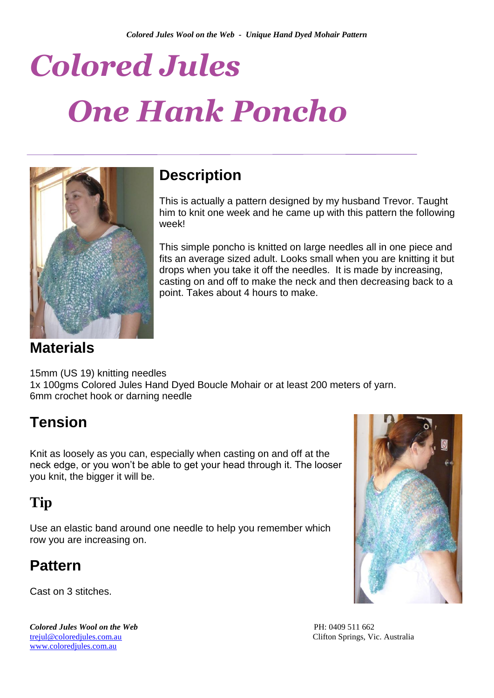# *Colored Jules One Hank Poncho*



#### **Description**

This is actually a pattern designed by my husband Trevor. Taught him to knit one week and he came up with this pattern the following week!

This simple poncho is knitted on large needles all in one piece and fits an average sized adult. Looks small when you are knitting it but drops when you take it off the needles. It is made by increasing, casting on and off to make the neck and then decreasing back to a point. Takes about 4 hours to make.

#### **Materials**

15mm (US 19) knitting needles 1x 100gms Colored Jules Hand Dyed Boucle Mohair or at least 200 meters of yarn. 6mm crochet hook or darning needle

### **Tension**

Knit as loosely as you can, especially when casting on and off at the neck edge, or you won't be able to get your head through it. The looser you knit, the bigger it will be.

## **Tip**

Use an elastic band around one needle to help you remember which row you are increasing on.

### **Pattern**

Cast on 3 stitches.

**Colored Jules Wool on the Web** PH: 0409 511 662 [trejul@coloredjules.com.au](mailto:trejul@coloredjules.com.au) Clifton Springs, Vic. Australia [www.coloredjules.com.au](http://www.coloredjules.com.au/)